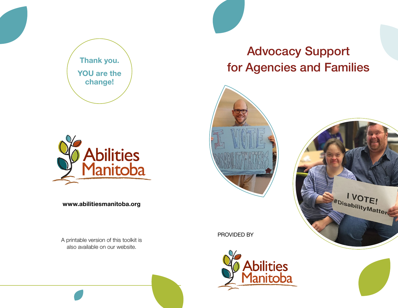



www.abilitiesmanitoba.org

A printable version of this toolkit is also available on our website.

# Advocacy Support for Agencies and Families





PROVIDED BY

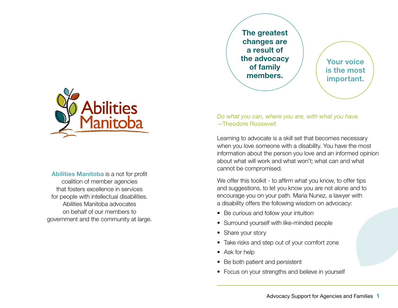The greatest changes are a result of the advocacy of family members.

Your voice is the most important.



Learning to advocate is a skill set that becomes necessary when you love someone with a disability. You have the most information about the person you love and an informed opinion about what will work and what won't; what can and what cannot be compromised.

We offer this toolkit - to affirm what you know, to offer tips and suggestions, to let you know you are not alone and to encourage you on your path. Maria Nunez, a lawyer with a disability offers the following wisdom on advocacy:

- Be curious and follow your intuition
- Surround yourself with like-minded people
- Share your story
- Take risks and step out of your comfort zone
- Ask for help
- Be both patient and persistent
- Focus on your strengths and believe in yourself



Abilities Manitoba is a not for profit coalition of member agencies that fosters excellence in services for people with intellectual disabilities. Abilities Manitoba advocates on behalf of our members to government and the community at large.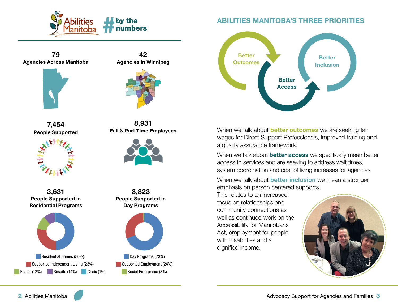

79 Agencies Across Manitoba





42

7,454 People Supported



3,631 People Supported in Residential Programs



8,931 Full & Part Time Employees



3,823 People Supported in Day Programs

Day Programs (73%) Supported Employment (24%) Social Enterprises (3%)

## ABILITIES MANITOBA'S THREE PRIORITIES



When we talk about **better outcomes** we are seeking fair wages for Direct Support Professionals, improved training and a quality assurance framework.

When we talk about **better access** we specifically mean better access to services and are seeking to address wait times, system coordination and cost of living increases for agencies.

When we talk about **better inclusion** we mean a stronger emphasis on person centered supports.

This relates to an increased focus on relationships and community connections as well as continued work on the Accessibility for Manitobans Act, employment for people with disabilities and a dignified income.

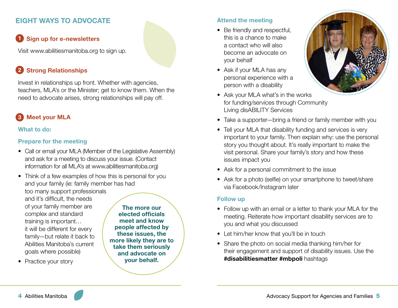## EIGHT WAYS TO ADVOCATE

## 1 Sign up for e-newsletters

Visit www.abilitiesmanitoba.org to sign up.

#### Strong Relationships 2

Invest in relationships up front. Whether with agencies, teachers, MLA's or the Minister; get to know them. When the need to advocate arises, strong relationships will pay off.

#### Meet your MLA 3

### What to do:

### Prepare for the meeting

- Call or email your MLA (Member of the Legislative Assembly) and ask for a meeting to discuss your issue. (Contact information for all MLA's at www.abilitiesmanitoba.org)
- Think of a few examples of how this is personal for you and your family (ie: family member has had too many support professionals and it's difficult, the needs of your family member are complex and standard training is important… it will be different for every The more our
- family—but relate it back to Abilities Manitoba's current goals where possible)
- Practice your story

elected officials meet and know people affected by these issues, the more likely they are to take them seriously and advocate on your behalf.

### Attend the meeting

- Be friendly and respectful, this is a chance to make a contact who will also become an advocate on your behalf
- Ask if your MLA has any personal experience with a person with a disability
- Ask your MLA what's in the works for funding/services through Community Living disABILITY Services



- Take a supporter—bring a friend or family member with you
- Tell your MLA that disability funding and services is very important to your family. Then explain why: use the personal story you thought about. It's really important to make the visit personal. Share your family's story and how these issues impact you
- Ask for a personal commitment to the issue
- Ask for a photo (selfie) on your smartphone to tweet/share via Facebook/Instagram later

#### Follow up

- Follow up with an email or a letter to thank your MLA for the meeting. Reiterate how important disability services are to you and what you discussed
- Let him/her know that you'll be in touch
- Share the photo on social media thanking him/her for their engagement and support of disability issues. Use the #disabilitiesmatter #mbpoli hashtags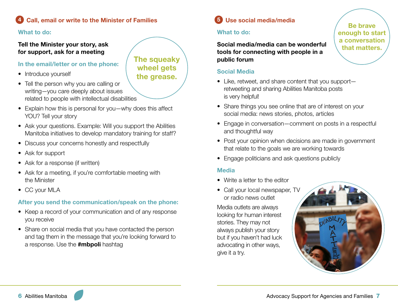#### Call, email or write to the Minister of Families 4

#### What to do:

### Tell the Minister your story, ask for support, ask for a meeting

### In the email/letter or on the phone:

- Introduce yourself
- Tell the person why you are calling or writing—you care deeply about issues related to people with intellectual disabilities
- Explain how this is personal for you—why does this affect YOU? Tell your story
- Ask your questions. Example: Will you support the Abilities Manitoba initiatives to develop mandatory training for staff?
- Discuss your concerns honestly and respectfully
- Ask for support
- Ask for a response (if written)
- Ask for a meeting, if you're comfortable meeting with the Minister
- CC your MLA

## After you send the communication/speak on the phone:

- Keep a record of your communication and of any response you receive
- Share on social media that you have contacted the person and tag them in the message that you're looking forward to a response. Use the #mbpoli hashtag

#### Use social media/media 5

### What to do:

Social media/media can be wonderful tools for connecting with people in a public forum

#### Social Media

- Like, retweet, and share content that you support retweeting and sharing Abilities Manitoba posts is very helpful!
- Share things you see online that are of interest on your social media: news stories, photos, articles
- Engage in conversation—comment on posts in a respectful and thoughtful way
- Post your opinion when decisions are made in government that relate to the goals we are working towards
- Engage politicians and ask questions publicly

#### Media

- Write a letter to the editor
- Call your local newspaper, TV or radio news outlet

Media outlets are always looking for human interest stories. They may not always publish your story but if you haven't had luck advocating in other ways, give it a try.



The squeaky wheel gets the grease.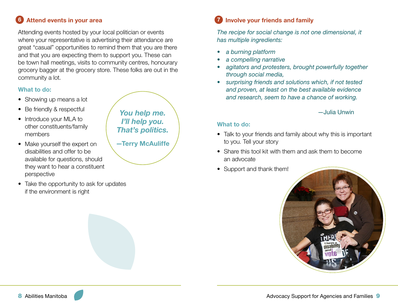#### Attend events in your area 6

Attending events hosted by your local politician or events where your representative is advertising their attendance are great "casual" opportunities to remind them that you are there and that you are expecting them to support you. These can be town hall meetings, visits to community centres, honourary grocery bagger at the grocery store. These folks are out in the community a lot.

#### What to do:

- Showing up means a lot
- Be friendly & respectful
- Introduce your MLA to other constituents/family members
- Make yourself the expert on disabilities and offer to be available for questions, should they want to hear a constituent perspective
- Take the opportunity to ask for updates if the environment is right

*You help me. I'll help you. That's politics.* —Terry McAuliffe

#### Involve your friends and family 7

*The recipe for social change is not one dimensional, it has multiple ingredients:* 

- *• a burning platform*
- *• a compelling narrative*
- *• agitators and protesters, brought powerfully together through social media,*
- *• surprising friends and solutions which, if not tested and proven, at least on the best available evidence and research, seem to have a chance of working.*

#### —Julia Unwin

#### What to do:

- Talk to your friends and family about why this is important to you. Tell your story
- Share this tool kit with them and ask them to become an advocate
- Support and thank them!

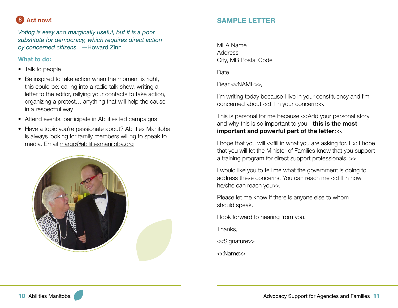#### Act now! 8

*Voting is easy and marginally useful, but it is a poor substitute for democracy, which requires direct action by concerned citizens.* —Howard Zinn

### What to do:

- Talk to people
- Be inspired to take action when the moment is right, this could be: calling into a radio talk show, writing a letter to the editor, rallying your contacts to take action, organizing a protest… anything that will help the cause in a respectful way
- Attend events, participate in Abilities led campaigns
- Have a topic you're passionate about? Abilities Manitoba is always looking for family members willing to speak to media. Email margo@abilitiesmanitoba.org



## SAMPLE LETTER

MLA Name **Address** City, MB Postal Code

**Date** 

Dear <<NAME>>.

I'm writing today because I live in your constituency and I'm concerned about <<fill in your concern>>.

This is personal for me because <<Add your personal story and why this is so important to you-this is the most important and powerful part of the letter $\gg$ .

I hope that you will << fill in what you are asking for. Ex: I hope that you will let the Minister of Families know that you support a training program for direct support professionals. >>

I would like you to tell me what the government is doing to address these concerns. You can reach me <<fill in how he/she can reach you>>.

Please let me know if there is anyone else to whom I should speak.

I look forward to hearing from you.

Thanks,

<<Signature>>

<<Name>>